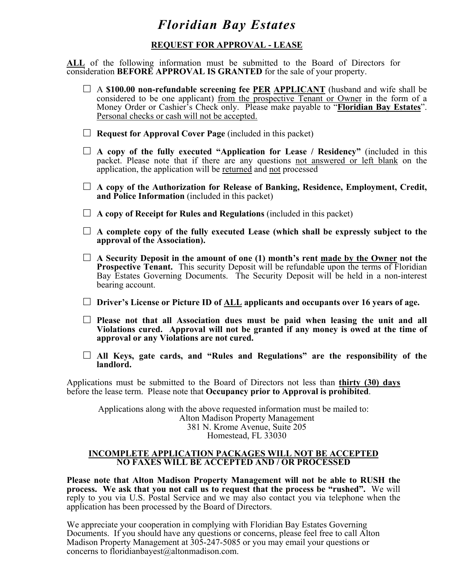## **REQUEST FOR APPROVAL - LEASE**

**ALL** of the following information must be submitted to the Board of Directors for consideration **BEFORE APPROVAL IS GRANTED** for the sale of your property.

- □ A \$100.00 non-refundable screening fee PER APPLICANT (husband and wife shall be considered to be one applicant) from the prospective Tenant or Owner in the form of a Money Order or Cashier's Check only. Please make payable to "**Floridian Bay Estates**". Personal checks or cash will not be accepted.
- $\Box$  **Request for Approval Cover Page** (included in this packet)
- □ **A copy of the fully executed "Application for Lease / Residency"** (included in this packet. Please note that if there are any questions not answered or left blank on the application, the application will be returned and not processed

□ **A copy of the Authorization for Release of Banking, Residence, Employment, Credit, and Police Information** (included in this packet)

□ **A copy of Receipt for Rules and Regulations** (included in this packet)

- $\Box$  A complete copy of the fully executed Lease (which shall be expressly subject to the **approval of the Association).**
- $\Box$  **A** Security Deposit in the amount of one (1) month's rent made by the Owner not the **Prospective Tenant.** This security Deposit will be refundable upon the terms of Floridian Bay Estates Governing Documents. The Security Deposit will be held in a non-interest bearing account.
- □ **Driver's License or Picture ID of ALL applicants and occupants over 16 years of age.**
- □ Please not that all Association dues must be paid when leasing the unit and all **Violations cured. Approval will not be granted if any money is owed at the time of approval or any Violations are not cured.**
- □ **All Keys, gate cards, and "Rules and Regulations" are the responsibility of the landlord.**

Applications must be submitted to the Board of Directors not less than **thirty (30) days** before the lease term. Please note that **Occupancy prior to Approval is prohibited**.

Applications along with the above requested information must be mailed to: Alton Madison Property Management 381 N. Krome Avenue, Suite 205 Homestead, FL 33030

#### **INCOMPLETE APPLICATION PACKAGES WILL NOT BE ACCEPTED NO FAXES WILL BE ACCEPTED AND / OR PROCESSED**

**Please note that Alton Madison Property Management will not be able to RUSH the process. We ask that you not call us to request that the process be "rushed".** We will reply to you via U.S. Postal Service and we may also contact you via telephone when the application has been processed by the Board of Directors.

We appreciate your cooperation in complying with Floridian Bay Estates Governing Documents. If you should have any questions or concerns, please feel free to call Alton Madison Property Management at 305-247-5085 or you may email your questions or concerns to floridianbayest@altonmadison.com.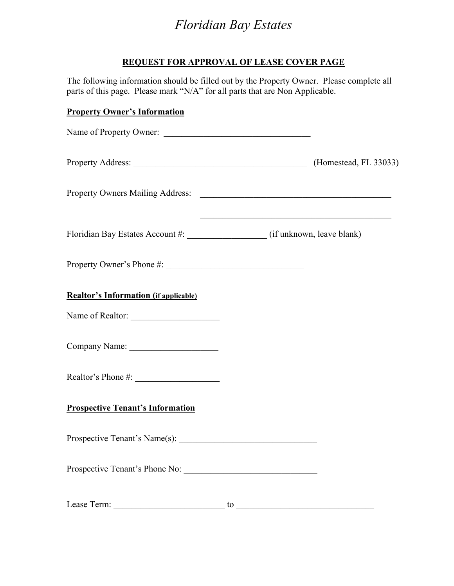### **REQUEST FOR APPROVAL OF LEASE COVER PAGE**

The following information should be filled out by the Property Owner. Please complete all parts of this page. Please mark "N/A" for all parts that are Non Applicable.

## **Property Owner's Information**

| Name of Property Owner:                                                |                                                                    |
|------------------------------------------------------------------------|--------------------------------------------------------------------|
|                                                                        | Property Address: (Homestead, FL 33033)                            |
|                                                                        |                                                                    |
|                                                                        | <u> 1989 - Johann John Stein, mars an deutscher Stein († 1958)</u> |
|                                                                        |                                                                    |
| <b>Realtor's Information (if applicable)</b>                           |                                                                    |
| Name of Realtor:                                                       |                                                                    |
|                                                                        |                                                                    |
|                                                                        |                                                                    |
| <b>Prospective Tenant's Information</b>                                |                                                                    |
|                                                                        |                                                                    |
| Prospective Tenant's Phone No:                                         |                                                                    |
| Lease Term:<br><u> 1989 - Johann Barn, mars ann an t-Amhair an t-A</u> | to                                                                 |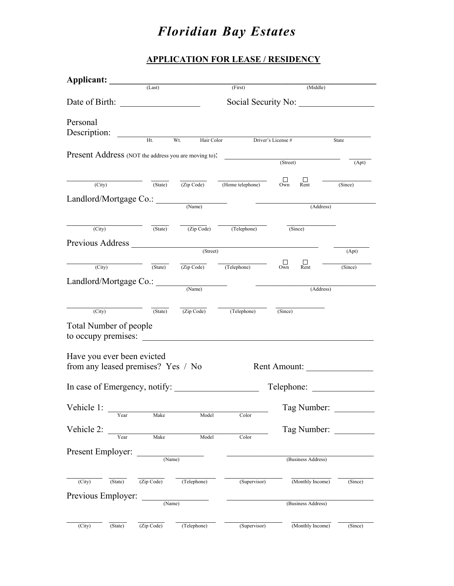## **APPLICATION FOR LEASE / RESIDENCY**

| Applicant: (Last)                                                |                             |                   | (First)                                                                                    | (Middle)                                      |                            |
|------------------------------------------------------------------|-----------------------------|-------------------|--------------------------------------------------------------------------------------------|-----------------------------------------------|----------------------------|
|                                                                  |                             |                   |                                                                                            |                                               |                            |
|                                                                  |                             |                   |                                                                                            | Social Security No:                           |                            |
| Personal                                                         |                             |                   |                                                                                            |                                               |                            |
| Description:                                                     | Ht                          | Wt.<br>Hair Color | Driver's License #                                                                         |                                               | State                      |
|                                                                  |                             |                   |                                                                                            |                                               |                            |
| Present Address (NOT the address you are moving to): (Street)    |                             |                   |                                                                                            |                                               | (Apt)                      |
|                                                                  |                             |                   |                                                                                            |                                               |                            |
| (City)                                                           | $\overline{\text{(State)}}$ |                   | $\frac{1}{2}$ (Zip Code) (Home telephone) Own                                              | ப<br>Rent                                     | (Since)                    |
| Landlord/Mortgage Co.: <u>Came</u>                               |                             |                   |                                                                                            | <u> Alexandro Alexandro (m. 1888)</u>         |                            |
|                                                                  |                             |                   |                                                                                            | (Address)                                     |                            |
| (City)                                                           |                             |                   | $\overline{(State)}$ $\overline{(Zip Code)}$ $\overline{(Telephone)}$                      | (Since)                                       |                            |
|                                                                  |                             |                   |                                                                                            |                                               |                            |
| Previous Address (Street)                                        |                             |                   |                                                                                            |                                               | (Apt)                      |
| (City)                                                           |                             |                   | $\overline{(State)}$ $\overline{(Zip Code)}$ $\overline{(Telephone)}$                      | ப<br>$\prod_{\text{Rent}}$<br>O <sub>Wh</sub> | $\frac{1}{\text{(Since)}}$ |
|                                                                  |                             |                   |                                                                                            |                                               |                            |
| Landlord/Mortgage Co.:                                           |                             | (Name)            |                                                                                            | (Address)                                     |                            |
|                                                                  |                             |                   |                                                                                            |                                               |                            |
| $\overline{(City)}$                                              |                             |                   | $\overline{(State)}$ $\overline{(Zip Code)}$ $\overline{(Telephone)}$ $\overline{(Since)}$ |                                               |                            |
| <b>Total Number of people</b>                                    |                             |                   |                                                                                            |                                               |                            |
| to occupy premises:                                              |                             |                   |                                                                                            |                                               |                            |
|                                                                  |                             |                   |                                                                                            |                                               |                            |
| Have you ever been evicted<br>from any leased premises? Yes / No |                             |                   |                                                                                            | Rent Amount:                                  |                            |
|                                                                  |                             |                   |                                                                                            |                                               |                            |
| In case of Emergency, notify:                                    |                             |                   |                                                                                            | Telephone:                                    |                            |
|                                                                  |                             |                   |                                                                                            |                                               |                            |
| Vehicle 1: $\_\_$                                                | Make                        | Model             | Color                                                                                      |                                               | Tag Number:                |
| Vehicle 2:                                                       |                             |                   |                                                                                            |                                               | Tag Number:                |
| Year                                                             | Make                        | Model             | Color                                                                                      |                                               |                            |
| Present Employer:                                                |                             |                   |                                                                                            |                                               |                            |
|                                                                  | (Name)                      |                   |                                                                                            | (Business Address)                            |                            |
|                                                                  |                             |                   |                                                                                            |                                               |                            |
| $\overline{(City)}$<br>(State)                                   | (Zip Code)                  | (Telephone)       | (Supervisor)                                                                               | (Monthly Income)                              | (Since)                    |
| Previous Employer:                                               | (Name)                      |                   |                                                                                            | (Business Address)                            |                            |
|                                                                  |                             |                   |                                                                                            |                                               |                            |
| (City)<br>(State)                                                | (Zip Code)                  | (Telephone)       | (Supervisor)                                                                               | (Monthly Income)                              | (Since)                    |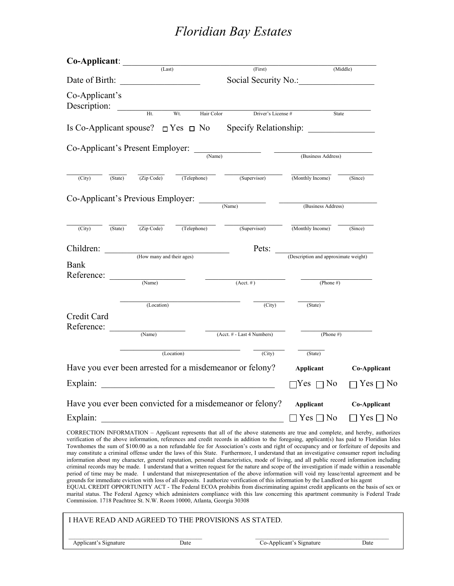| Co-Applicant:                                     |         |                                       |                                              |                                                                                                                              |                                      |                        |  |
|---------------------------------------------------|---------|---------------------------------------|----------------------------------------------|------------------------------------------------------------------------------------------------------------------------------|--------------------------------------|------------------------|--|
|                                                   |         | (Last)                                |                                              | (First)                                                                                                                      |                                      | (Middle)               |  |
| Date of Birth:                                    |         | <u> 1990 - Johann Barbara, martxa</u> |                                              |                                                                                                                              | Social Security No.:                 |                        |  |
| Co-Applicant's<br>Description:                    |         | $\frac{1}{\text{H}t}$                 |                                              |                                                                                                                              |                                      |                        |  |
|                                                   |         |                                       | Wt.                                          | Hair Color<br>Driver's License #                                                                                             | State                                |                        |  |
|                                                   |         |                                       | Is Co-Applicant spouse? $\Box$ Yes $\Box$ No |                                                                                                                              |                                      |                        |  |
|                                                   |         |                                       |                                              |                                                                                                                              |                                      |                        |  |
| Co-Applicant's Present Employer: <u>COMANNELL</u> |         |                                       | (Business Address)                           |                                                                                                                              |                                      |                        |  |
|                                                   |         |                                       |                                              |                                                                                                                              |                                      |                        |  |
| (City)                                            | (State) | (Zip Code)                            | (Telephone)                                  | (Supervisor)                                                                                                                 | (Monthly Income)                     | (Since)                |  |
|                                                   |         |                                       |                                              |                                                                                                                              |                                      |                        |  |
|                                                   |         |                                       |                                              | $Co-Application's Previous Employee:$ (Name)                                                                                 | (Business Address)                   |                        |  |
|                                                   |         |                                       |                                              |                                                                                                                              |                                      |                        |  |
| (City)                                            | (State) | $\overline{(Zip Code)}$               | (Telephone)                                  | (Supervisor)                                                                                                                 | (Monthly Income)                     | (Since)                |  |
|                                                   |         |                                       |                                              |                                                                                                                              |                                      |                        |  |
| Children:                                         |         | (How many and their ages)             |                                              | Pets:                                                                                                                        | (Description and approximate weight) |                        |  |
| <b>Bank</b>                                       |         |                                       |                                              |                                                                                                                              |                                      |                        |  |
| Reference:                                        |         |                                       |                                              |                                                                                                                              |                                      |                        |  |
|                                                   |         | (Name)                                |                                              | $(Acct. \#)$                                                                                                                 | (Phone $#$ )                         |                        |  |
|                                                   |         |                                       |                                              |                                                                                                                              |                                      |                        |  |
|                                                   |         | (Location)                            |                                              | (City)                                                                                                                       | (State)                              |                        |  |
| Credit Card<br>Reference:                         |         |                                       |                                              |                                                                                                                              |                                      |                        |  |
|                                                   |         | (Name)                                |                                              | (Acct. # - Last 4 Numbers)                                                                                                   | (Phone $#$ )                         |                        |  |
|                                                   |         |                                       |                                              |                                                                                                                              |                                      |                        |  |
|                                                   |         |                                       | (Location)                                   | $\overline{\text{(City)}}$                                                                                                   | (State)                              |                        |  |
|                                                   |         |                                       |                                              | Have you ever been arrested for a misdemeanor or felony?                                                                     | Applicant                            | Co-Applicant           |  |
| Explain:                                          |         |                                       |                                              | <u> 1989 - Johann Barn, mars ann an t-Amhain ann an t-Amhain an t-Amhain ann an t-Amhain an t-Amhain ann an t-A</u>          | $\neg Yes \sqcap No$                 | $\Box$ Yes $\Box$ No   |  |
|                                                   |         |                                       |                                              | Have you ever been convicted for a misdemeanor or felony?                                                                    |                                      | Applicant Co-Applicant |  |
|                                                   |         | Explain:                              |                                              |                                                                                                                              | $\Box$ Yes $\Box$ No                 | $\Box$ Yes $\Box$ No   |  |
|                                                   |         |                                       |                                              | CORRECTION INFORMATION - Applicant represents that all of the above statements are true and complete, and hereby, authorizes |                                      |                        |  |
|                                                   |         |                                       |                                              | . That there informed the continues and could be could in additional above the countinearly has weld as Plantitural Li       |                                      |                        |  |

verification of the above information, references and credit records in addition to the foregoing, applicant(s) has paid to Floridian Isles Townhomes the sum of \$100.00 as a non refundable fee for Association's costs and right of occupancy and or forfeiture of deposits and may constitute a criminal offense under the laws of this State. Furthermore, I understand that an investigative consumer report including information about my character, general reputation, personal characteristics, mode of living, and all public record information including criminal records may be made. I understand that a written request for the nature and scope of the investigation if made within a reasonable period of time may be made. I understand that misrepresentation of the above information will void my lease/rental agreement and be grounds for immediate eviction with loss of all deposits. I authorize verification of this information by the Landlord or his agent EQUAL CREDIT OPPORTUNITY ACT - The Federal ECOA prohibits from discriminating against credit applicants on the basis of sex or marital status. The Federal Agency which administers compliance with this law concerning this apartment community is Federal Trade

Commission. 1718 Peachtree St. N.W. Room 10000, Atlanta, Georgia 30308

| I HAVE READ AND AGREED TO THE PROVISIONS AS STATED. |      |                          |      |  |  |
|-----------------------------------------------------|------|--------------------------|------|--|--|
| Applicant's Signature                               | Date | Co-Applicant's Signature | Date |  |  |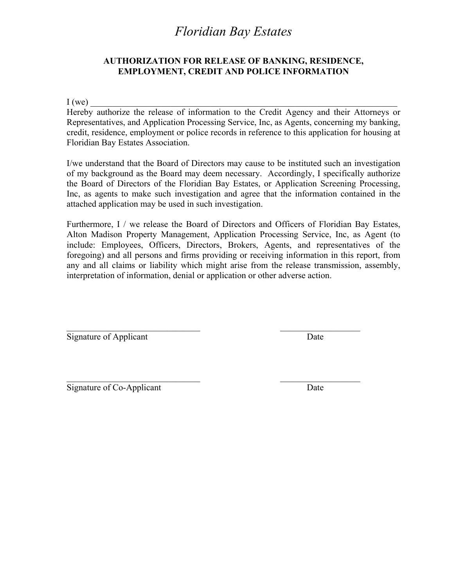### **AUTHORIZATION FOR RELEASE OF BANKING, RESIDENCE, EMPLOYMENT, CREDIT AND POLICE INFORMATION**

 $I(we)$ 

Hereby authorize the release of information to the Credit Agency and their Attorneys or Representatives, and Application Processing Service, Inc, as Agents, concerning my banking, credit, residence, employment or police records in reference to this application for housing at Floridian Bay Estates Association.

I/we understand that the Board of Directors may cause to be instituted such an investigation of my background as the Board may deem necessary. Accordingly, I specifically authorize the Board of Directors of the Floridian Bay Estates, or Application Screening Processing, Inc, as agents to make such investigation and agree that the information contained in the attached application may be used in such investigation.

Furthermore, I / we release the Board of Directors and Officers of Floridian Bay Estates, Alton Madison Property Management, Application Processing Service, Inc, as Agent (to include: Employees, Officers, Directors, Brokers, Agents, and representatives of the foregoing) and all persons and firms providing or receiving information in this report, from any and all claims or liability which might arise from the release transmission, assembly, interpretation of information, denial or application or other adverse action.

 $\mathcal{L}_\text{max}$  , and the contract of the contract of the contract of the contract of the contract of the contract of the contract of the contract of the contract of the contract of the contract of the contract of the contr

 $\mathcal{L}_\text{max}$  , and the contract of the contract of the contract of the contract of the contract of the contract of the contract of the contract of the contract of the contract of the contract of the contract of the contr

Signature of Applicant Date

Signature of Co-Applicant Date